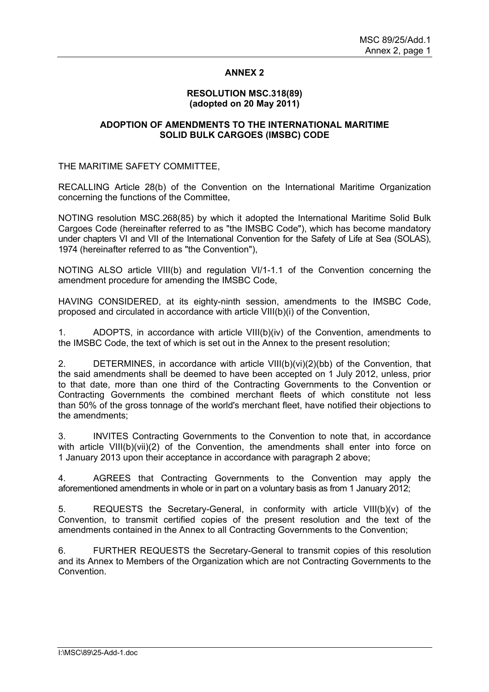# **ANNEX 2**

## **RESOLUTION MSC.318(89) (adopted on 20 May 2011)**

# **ADOPTION OF AMENDMENTS TO THE INTERNATIONAL MARITIME SOLID BULK CARGOES (IMSBC) CODE**

THE MARITIME SAFETY COMMITTEE,

RECALLING Article 28(b) of the Convention on the International Maritime Organization concerning the functions of the Committee,

NOTING resolution MSC.268(85) by which it adopted the International Maritime Solid Bulk Cargoes Code (hereinafter referred to as "the IMSBC Code"), which has become mandatory under chapters VI and VII of the International Convention for the Safety of Life at Sea (SOLAS), 1974 (hereinafter referred to as "the Convention"),

NOTING ALSO article VIII(b) and regulation VI/1-1.1 of the Convention concerning the amendment procedure for amending the IMSBC Code,

HAVING CONSIDERED, at its eighty-ninth session, amendments to the IMSBC Code, proposed and circulated in accordance with article VIII(b)(i) of the Convention,

1. ADOPTS, in accordance with article VIII(b)(iv) of the Convention, amendments to the IMSBC Code, the text of which is set out in the Annex to the present resolution;

2. DETERMINES, in accordance with article VIII(b)(vi)(2)(bb) of the Convention, that the said amendments shall be deemed to have been accepted on 1 July 2012, unless, prior to that date, more than one third of the Contracting Governments to the Convention or Contracting Governments the combined merchant fleets of which constitute not less than 50% of the gross tonnage of the world's merchant fleet, have notified their objections to the amendments;

3. INVITES Contracting Governments to the Convention to note that, in accordance with article VIII(b)(vii)(2) of the Convention, the amendments shall enter into force on 1 January 2013 upon their acceptance in accordance with paragraph 2 above;

4. AGREES that Contracting Governments to the Convention may apply the aforementioned amendments in whole or in part on a voluntary basis as from 1 January 2012;

5. REQUESTS the Secretary-General, in conformity with article VIII(b)(v) of the Convention, to transmit certified copies of the present resolution and the text of the amendments contained in the Annex to all Contracting Governments to the Convention;

6. FURTHER REQUESTS the Secretary-General to transmit copies of this resolution and its Annex to Members of the Organization which are not Contracting Governments to the Convention.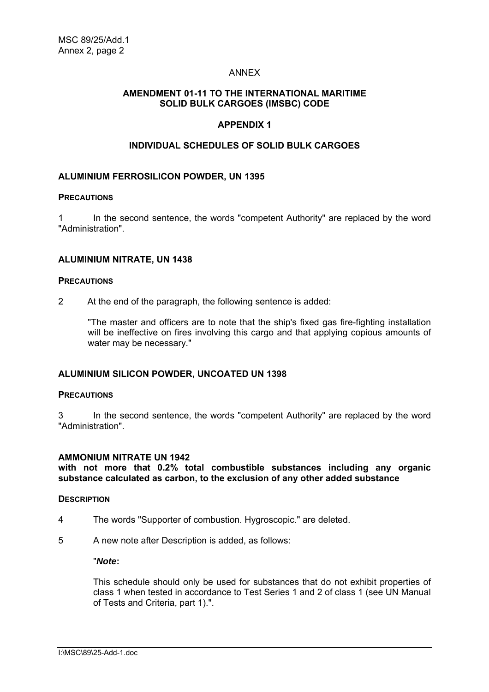# ANNEX

# **AMENDMENT 01-11 TO THE INTERNATIONAL MARITIME SOLID BULK CARGOES (IMSBC) CODE**

# **APPENDIX 1**

# **INDIVIDUAL SCHEDULES OF SOLID BULK CARGOES**

# **ALUMINIUM FERROSILICON POWDER, UN 1395**

#### **PRECAUTIONS**

1 In the second sentence, the words "competent Authority" are replaced by the word "Administration".

## **ALUMINIUM NITRATE, UN 1438**

#### **PRECAUTIONS**

2 At the end of the paragraph, the following sentence is added:

"The master and officers are to note that the ship's fixed gas fire-fighting installation will be ineffective on fires involving this cargo and that applying copious amounts of water may be necessary."

## **ALUMINIUM SILICON POWDER, UNCOATED UN 1398**

#### **PRECAUTIONS**

3 In the second sentence, the words "competent Authority" are replaced by the word "Administration".

## **AMMONIUM NITRATE UN 1942**

**with not more that 0.2% total combustible substances including any organic substance calculated as carbon, to the exclusion of any other added substance** 

#### **DESCRIPTION**

- 4 The words "Supporter of combustion. Hygroscopic." are deleted.
- 5 A new note after Description is added, as follows:

#### "*Note***:**

This schedule should only be used for substances that do not exhibit properties of class 1 when tested in accordance to Test Series 1 and 2 of class 1 (see UN Manual of Tests and Criteria, part 1).".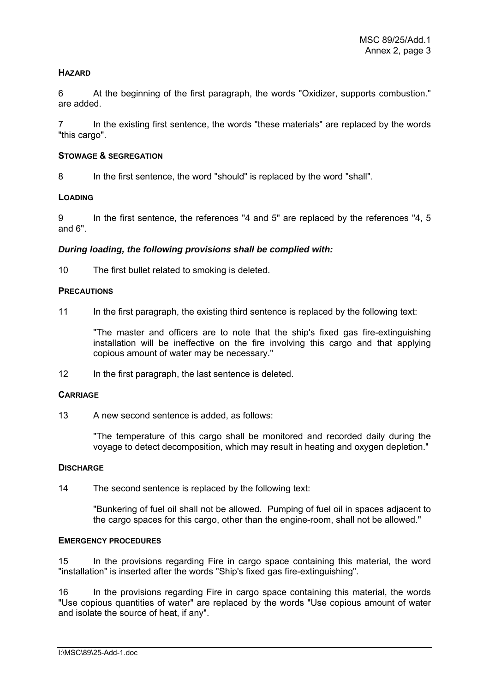# **HAZARD**

6 At the beginning of the first paragraph, the words "Oxidizer, supports combustion." are added.

In the existing first sentence, the words "these materials" are replaced by the words "this cargo".

## **STOWAGE & SEGREGATION**

8 In the first sentence, the word "should" is replaced by the word "shall".

# **LOADING**

9 In the first sentence, the references "4 and 5" are replaced by the references "4, 5 and 6".

# *During loading, the following provisions shall be complied with:*

10 The first bullet related to smoking is deleted.

# **PRECAUTIONS**

11 In the first paragraph, the existing third sentence is replaced by the following text:

"The master and officers are to note that the ship's fixed gas fire-extinguishing installation will be ineffective on the fire involving this cargo and that applying copious amount of water may be necessary."

12 In the first paragraph, the last sentence is deleted.

# **CARRIAGE**

13 A new second sentence is added, as follows:

"The temperature of this cargo shall be monitored and recorded daily during the voyage to detect decomposition, which may result in heating and oxygen depletion."

## **DISCHARGE**

14 The second sentence is replaced by the following text:

"Bunkering of fuel oil shall not be allowed. Pumping of fuel oil in spaces adjacent to the cargo spaces for this cargo, other than the engine-room, shall not be allowed."

## **EMERGENCY PROCEDURES**

15 In the provisions regarding Fire in cargo space containing this material, the word "installation" is inserted after the words "Ship's fixed gas fire-extinguishing".

16 In the provisions regarding Fire in cargo space containing this material, the words "Use copious quantities of water" are replaced by the words "Use copious amount of water and isolate the source of heat, if any".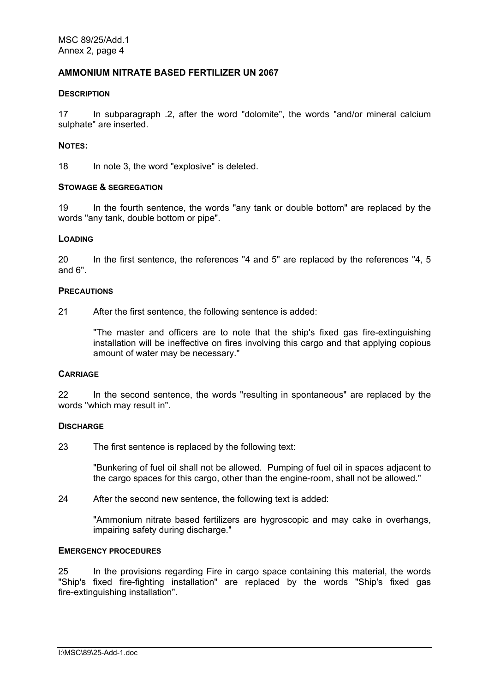# **AMMONIUM NITRATE BASED FERTILIZER UN 2067**

#### **DESCRIPTION**

17 In subparagraph .2, after the word "dolomite", the words "and/or mineral calcium sulphate" are inserted.

#### **NOTES:**

18 In note 3, the word "explosive" is deleted.

#### **STOWAGE & SEGREGATION**

19 In the fourth sentence, the words "any tank or double bottom" are replaced by the words "any tank, double bottom or pipe".

#### **LOADING**

20 In the first sentence, the references "4 and 5" are replaced by the references "4, 5 and 6".

#### **PRECAUTIONS**

21 After the first sentence, the following sentence is added:

"The master and officers are to note that the ship's fixed gas fire-extinguishing installation will be ineffective on fires involving this cargo and that applying copious amount of water may be necessary."

## **CARRIAGE**

22 In the second sentence, the words "resulting in spontaneous" are replaced by the words "which may result in".

## **DISCHARGE**

23 The first sentence is replaced by the following text:

"Bunkering of fuel oil shall not be allowed. Pumping of fuel oil in spaces adjacent to the cargo spaces for this cargo, other than the engine-room, shall not be allowed."

24 After the second new sentence, the following text is added:

"Ammonium nitrate based fertilizers are hygroscopic and may cake in overhangs, impairing safety during discharge."

#### **EMERGENCY PROCEDURES**

25 In the provisions regarding Fire in cargo space containing this material, the words "Ship's fixed fire-fighting installation" are replaced by the words "Ship's fixed gas fire-extinguishing installation".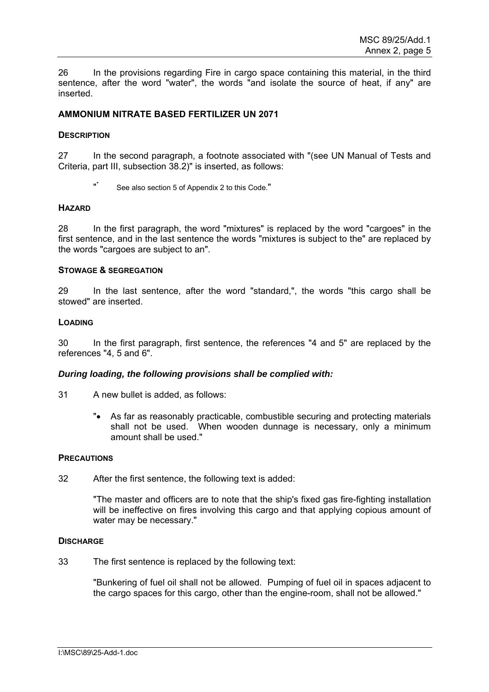26 In the provisions regarding Fire in cargo space containing this material, in the third sentence, after the word "water", the words "and isolate the source of heat, if any" are inserted.

# **AMMONIUM NITRATE BASED FERTILIZER UN 2071**

## **DESCRIPTION**

27 In the second paragraph, a footnote associated with "(see UN Manual of Tests and Criteria, part III, subsection 38.2)" is inserted, as follows:

See also section 5 of Appendix 2 to this Code."

#### **HAZARD**

28 In the first paragraph, the word "mixtures" is replaced by the word "cargoes" in the first sentence, and in the last sentence the words "mixtures is subject to the" are replaced by the words "cargoes are subject to an".

#### **STOWAGE & SEGREGATION**

29 In the last sentence, after the word "standard,", the words "this cargo shall be stowed" are inserted.

# **LOADING**

30 In the first paragraph, first sentence, the references "4 and 5" are replaced by the references "4, 5 and 6".

## *During loading, the following provisions shall be complied with:*

- 31 A new bullet is added, as follows:
	- "• As far as reasonably practicable, combustible securing and protecting materials shall not be used. When wooden dunnage is necessary, only a minimum amount shall be used."

#### **PRECAUTIONS**

32 After the first sentence, the following text is added:

"The master and officers are to note that the ship's fixed gas fire-fighting installation will be ineffective on fires involving this cargo and that applying copious amount of water may be necessary."

#### **DISCHARGE**

33 The first sentence is replaced by the following text:

"Bunkering of fuel oil shall not be allowed. Pumping of fuel oil in spaces adjacent to the cargo spaces for this cargo, other than the engine-room, shall not be allowed."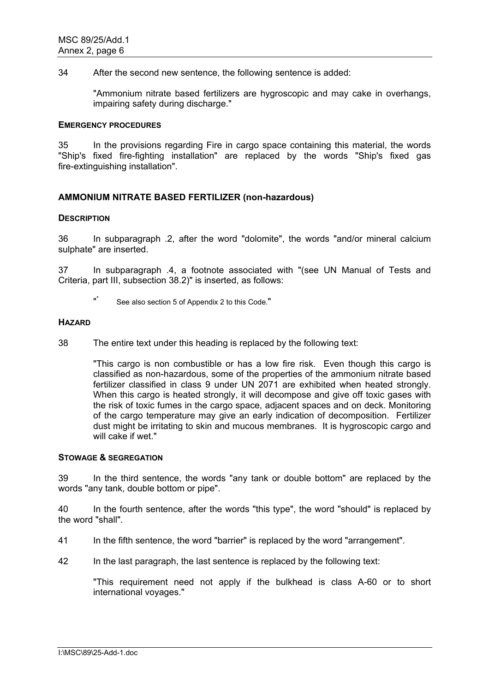34 After the second new sentence, the following sentence is added:

"Ammonium nitrate based fertilizers are hygroscopic and may cake in overhangs, impairing safety during discharge."

#### **EMERGENCY PROCEDURES**

35 In the provisions regarding Fire in cargo space containing this material, the words "Ship's fixed fire-fighting installation" are replaced by the words "Ship's fixed gas fire-extinguishing installation".

# **AMMONIUM NITRATE BASED FERTILIZER (non-hazardous)**

## **DESCRIPTION**

36 In subparagraph .2, after the word "dolomite", the words "and/or mineral calcium sulphate" are inserted.

37 In subparagraph .4, a footnote associated with "(see UN Manual of Tests and Criteria, part III, subsection 38.2)" is inserted, as follows:

#### **HAZARD**

38 The entire text under this heading is replaced by the following text:

"This cargo is non combustible or has a low fire risk. Even though this cargo is classified as non-hazardous, some of the properties of the ammonium nitrate based fertilizer classified in class 9 under UN 2071 are exhibited when heated strongly. When this cargo is heated strongly, it will decompose and give off toxic gases with the risk of toxic fumes in the cargo space, adjacent spaces and on deck. Monitoring of the cargo temperature may give an early indication of decomposition. Fertilizer dust might be irritating to skin and mucous membranes. It is hygroscopic cargo and will cake if wet."

## **STOWAGE & SEGREGATION**

39 In the third sentence, the words "any tank or double bottom" are replaced by the words "any tank, double bottom or pipe".

40 In the fourth sentence, after the words "this type", the word "should" is replaced by the word "shall".

41 In the fifth sentence, the word "barrier" is replaced by the word "arrangement".

42 In the last paragraph, the last sentence is replaced by the following text:

"This requirement need not apply if the bulkhead is class A-60 or to short international voyages."

 <sup>&</sup>quot;\* See also section 5 of Appendix 2 to this Code."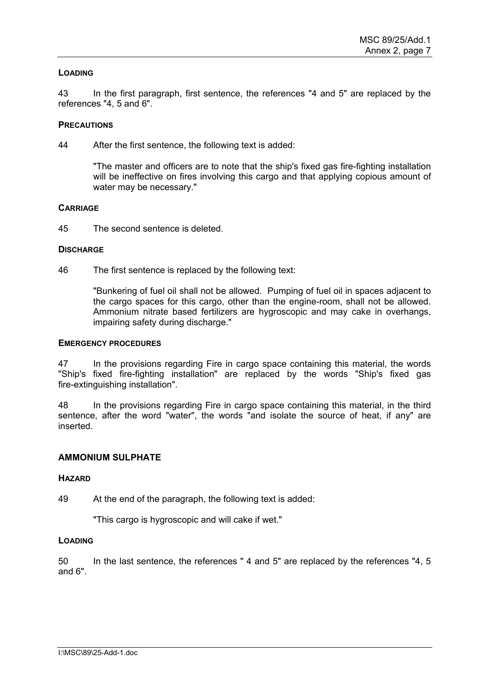## **LOADING**

43 In the first paragraph, first sentence, the references "4 and 5" are replaced by the references "4, 5 and 6".

## **PRECAUTIONS**

44 After the first sentence, the following text is added:

"The master and officers are to note that the ship's fixed gas fire-fighting installation will be ineffective on fires involving this cargo and that applying copious amount of water may be necessary."

## **CARRIAGE**

45 The second sentence is deleted.

# **DISCHARGE**

46 The first sentence is replaced by the following text:

"Bunkering of fuel oil shall not be allowed. Pumping of fuel oil in spaces adjacent to the cargo spaces for this cargo, other than the engine-room, shall not be allowed. Ammonium nitrate based fertilizers are hygroscopic and may cake in overhangs, impairing safety during discharge."

## **EMERGENCY PROCEDURES**

47 In the provisions regarding Fire in cargo space containing this material, the words "Ship's fixed fire-fighting installation" are replaced by the words "Ship's fixed gas fire-extinguishing installation".

48 In the provisions regarding Fire in cargo space containing this material, in the third sentence, after the word "water", the words "and isolate the source of heat, if any" are inserted.

# **AMMONIUM SULPHATE**

## **HAZARD**

49 At the end of the paragraph, the following text is added:

"This cargo is hygroscopic and will cake if wet."

## **LOADING**

50 In the last sentence, the references " 4 and 5" are replaced by the references "4, 5 and 6".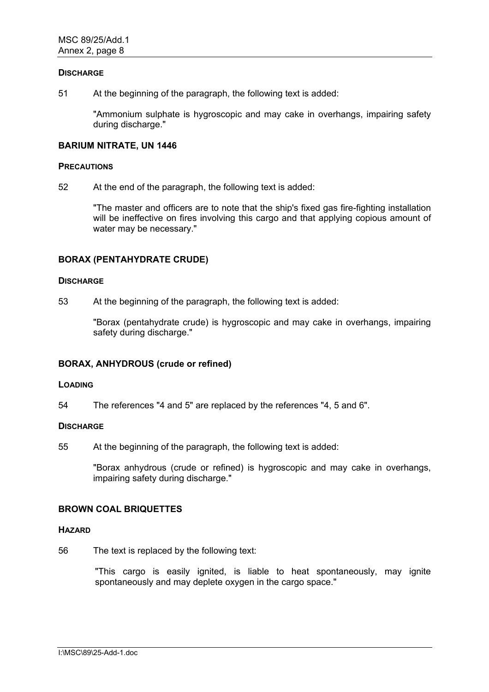#### **DISCHARGE**

51 At the beginning of the paragraph, the following text is added:

"Ammonium sulphate is hygroscopic and may cake in overhangs, impairing safety during discharge."

## **BARIUM NITRATE, UN 1446**

#### **PRECAUTIONS**

52 At the end of the paragraph, the following text is added:

"The master and officers are to note that the ship's fixed gas fire-fighting installation will be ineffective on fires involving this cargo and that applying copious amount of water may be necessary."

## **BORAX (PENTAHYDRATE CRUDE)**

#### **DISCHARGE**

53 At the beginning of the paragraph, the following text is added:

"Borax (pentahydrate crude) is hygroscopic and may cake in overhangs, impairing safety during discharge."

## **BORAX, ANHYDROUS (crude or refined)**

## **LOADING**

54 The references "4 and 5" are replaced by the references "4, 5 and 6".

## **DISCHARGE**

55 At the beginning of the paragraph, the following text is added:

"Borax anhydrous (crude or refined) is hygroscopic and may cake in overhangs, impairing safety during discharge."

# **BROWN COAL BRIQUETTES**

#### **HAZARD**

56 The text is replaced by the following text:

"This cargo is easily ignited, is liable to heat spontaneously, may ignite spontaneously and may deplete oxygen in the cargo space."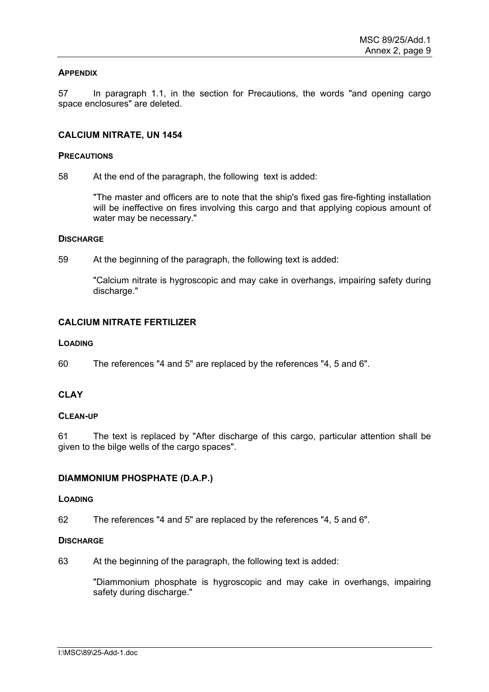## **APPENDIX**

57 In paragraph 1.1, in the section for Precautions, the words "and opening cargo space enclosures" are deleted.

# **CALCIUM NITRATE, UN 1454**

## **PRECAUTIONS**

58 At the end of the paragraph, the following text is added:

"The master and officers are to note that the ship's fixed gas fire-fighting installation will be ineffective on fires involving this cargo and that applying copious amount of water may be necessary."

#### **DISCHARGE**

59 At the beginning of the paragraph, the following text is added:

"Calcium nitrate is hygroscopic and may cake in overhangs, impairing safety during discharge."

# **CALCIUM NITRATE FERTILIZER**

#### **LOADING**

60 The references "4 and 5" are replaced by the references "4, 5 and 6".

# **CLAY**

## **CLEAN-UP**

61 The text is replaced by "After discharge of this cargo, particular attention shall be given to the bilge wells of the cargo spaces".

## **DIAMMONIUM PHOSPHATE (D.A.P.)**

# **LOADING**

62 The references "4 and 5" are replaced by the references "4, 5 and 6".

## **DISCHARGE**

63 At the beginning of the paragraph, the following text is added:

"Diammonium phosphate is hygroscopic and may cake in overhangs, impairing safety during discharge."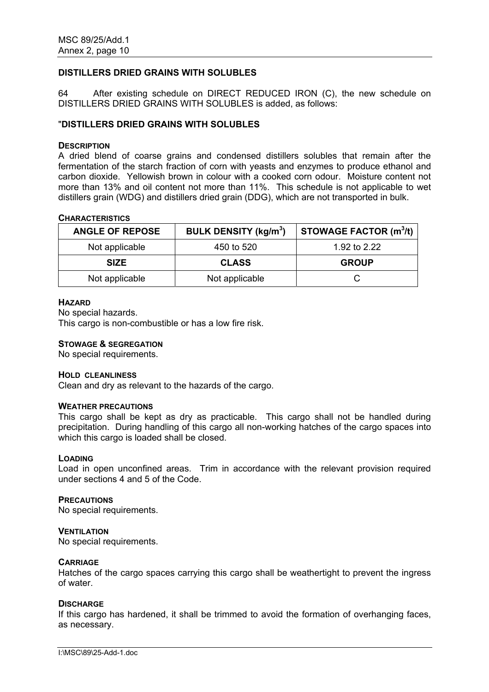# **DISTILLERS DRIED GRAINS WITH SOLUBLES**

64 After existing schedule on DIRECT REDUCED IRON (C), the new schedule on DISTILLERS DRIED GRAINS WITH SOLUBLES is added, as follows:

## "**DISTILLERS DRIED GRAINS WITH SOLUBLES**

#### **DESCRIPTION**

A dried blend of coarse grains and condensed distillers solubles that remain after the fermentation of the starch fraction of corn with yeasts and enzymes to produce ethanol and carbon dioxide. Yellowish brown in colour with a cooked corn odour. Moisture content not more than 13% and oil content not more than 11%. This schedule is not applicable to wet distillers grain (WDG) and distillers dried grain (DDG), which are not transported in bulk.

#### **CHARACTERISTICS**

| <b>ANGLE OF REPOSE</b> | <b>BULK DENSITY (kg/m<sup>3</sup>)</b> | STOWAGE FACTOR $(m^3/t)$ |
|------------------------|----------------------------------------|--------------------------|
| Not applicable         | 450 to 520                             | 1.92 to 2.22             |
| <b>SIZE</b>            | <b>CLASS</b>                           | <b>GROUP</b>             |
| Not applicable         | Not applicable                         |                          |

#### **HAZARD**

No special hazards.

This cargo is non-combustible or has a low fire risk.

#### **STOWAGE & SEGREGATION**

No special requirements.

#### **HOLD CLEANLINESS**

Clean and dry as relevant to the hazards of the cargo.

## **WEATHER PRECAUTIONS**

This cargo shall be kept as dry as practicable. This cargo shall not be handled during precipitation. During handling of this cargo all non-working hatches of the cargo spaces into which this cargo is loaded shall be closed.

## **LOADING**

Load in open unconfined areas. Trim in accordance with the relevant provision required under sections 4 and 5 of the Code.

#### **PRECAUTIONS**

No special requirements.

#### **VENTILATION**

No special requirements.

## **CARRIAGE**

Hatches of the cargo spaces carrying this cargo shall be weathertight to prevent the ingress of water.

## **DISCHARGE**

If this cargo has hardened, it shall be trimmed to avoid the formation of overhanging faces, as necessary.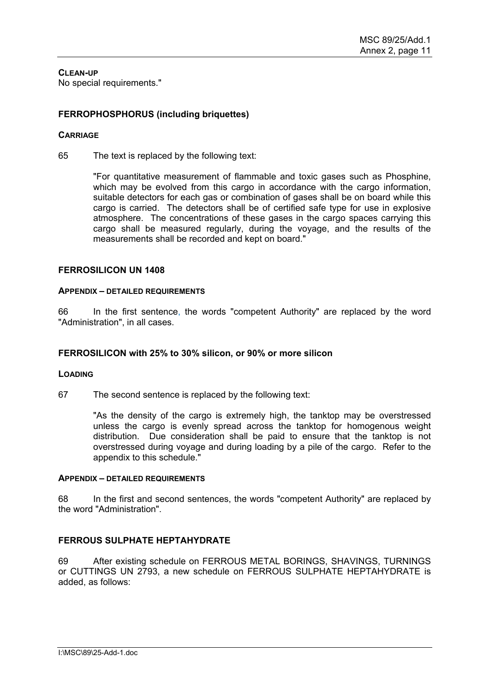**CLEAN-UP** No special requirements."

# **FERROPHOSPHORUS (including briquettes)**

## **CARRIAGE**

65 The text is replaced by the following text:

"For quantitative measurement of flammable and toxic gases such as Phosphine, which may be evolved from this cargo in accordance with the cargo information, suitable detectors for each gas or combination of gases shall be on board while this cargo is carried. The detectors shall be of certified safe type for use in explosive atmosphere. The concentrations of these gases in the cargo spaces carrying this cargo shall be measured regularly, during the voyage, and the results of the measurements shall be recorded and kept on board."

# **FERROSILICON UN 1408**

## **APPENDIX – DETAILED REQUIREMENTS**

66 In the first sentence, the words "competent Authority" are replaced by the word "Administration", in all cases.

## **FERROSILICON with 25% to 30% silicon, or 90% or more silicon**

## **LOADING**

67 The second sentence is replaced by the following text:

"As the density of the cargo is extremely high, the tanktop may be overstressed unless the cargo is evenly spread across the tanktop for homogenous weight distribution. Due consideration shall be paid to ensure that the tanktop is not overstressed during voyage and during loading by a pile of the cargo. Refer to the appendix to this schedule."

## **APPENDIX – DETAILED REQUIREMENTS**

68 In the first and second sentences, the words "competent Authority" are replaced by the word "Administration".

## **FERROUS SULPHATE HEPTAHYDRATE**

69 After existing schedule on FERROUS METAL BORINGS, SHAVINGS, TURNINGS or CUTTINGS UN 2793, a new schedule on FERROUS SULPHATE HEPTAHYDRATE is added, as follows: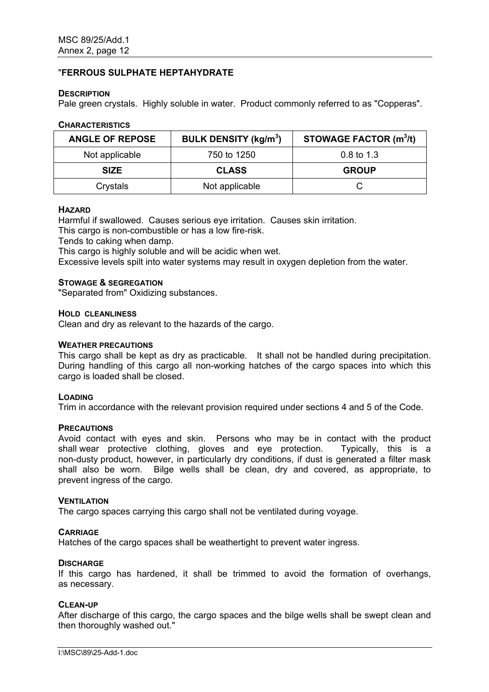## "**FERROUS SULPHATE HEPTAHYDRATE**

#### **DESCRIPTION**

Pale green crystals. Highly soluble in water. Product commonly referred to as "Copperas".

#### **CHARACTERISTICS**

| <b>ANGLE OF REPOSE</b> | <b>BULK DENSITY (kg/m<sup>3</sup>)</b> | <b>STOWAGE FACTOR (m<sup>3</sup>/t)</b> |
|------------------------|----------------------------------------|-----------------------------------------|
| Not applicable         | 750 to 1250                            | $0.8$ to 1.3                            |
| <b>SIZE</b>            | <b>CLASS</b>                           | <b>GROUP</b>                            |
| Crystals               | Not applicable                         |                                         |

#### **HAZARD**

Harmful if swallowed. Causes serious eye irritation. Causes skin irritation.

This cargo is non-combustible or has a low fire-risk.

Tends to caking when damp.

This cargo is highly soluble and will be acidic when wet.

Excessive levels spilt into water systems may result in oxygen depletion from the water.

#### **STOWAGE & SEGREGATION**

"Separated from" Oxidizing substances.

#### **HOLD CLEANLINESS**

Clean and dry as relevant to the hazards of the cargo.

#### **WEATHER PRECAUTIONS**

This cargo shall be kept as dry as practicable. It shall not be handled during precipitation. During handling of this cargo all non-working hatches of the cargo spaces into which this cargo is loaded shall be closed.

#### **LOADING**

Trim in accordance with the relevant provision required under sections 4 and 5 of the Code.

## **PRECAUTIONS**

Avoid contact with eyes and skin. Persons who may be in contact with the product shall wear protective clothing, gloves and eye protection. Typically, this is a non-dusty product, however, in particularly dry conditions, if dust is generated a filter mask shall also be worn. Bilge wells shall be clean, dry and covered, as appropriate, to prevent ingress of the cargo.

#### **VENTILATION**

The cargo spaces carrying this cargo shall not be ventilated during voyage.

## **CARRIAGE**

Hatches of the cargo spaces shall be weathertight to prevent water ingress.

#### **DISCHARGE**

If this cargo has hardened, it shall be trimmed to avoid the formation of overhangs, as necessary.

## **CLEAN-UP**

After discharge of this cargo, the cargo spaces and the bilge wells shall be swept clean and then thoroughly washed out."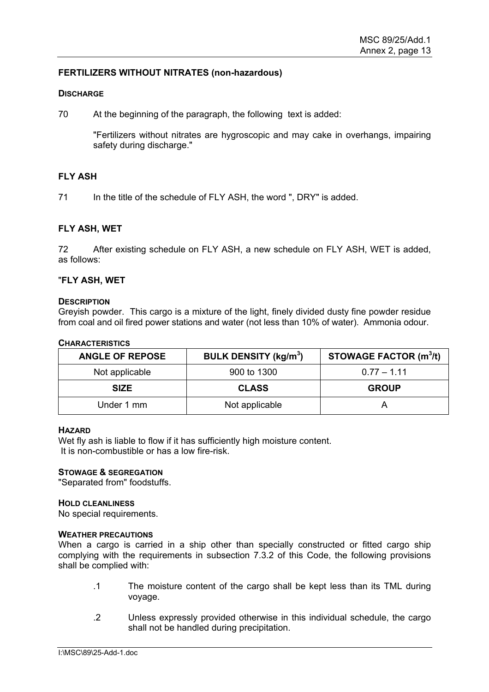# **FERTILIZERS WITHOUT NITRATES (non-hazardous)**

#### **DISCHARGE**

70 At the beginning of the paragraph, the following text is added:

"Fertilizers without nitrates are hygroscopic and may cake in overhangs, impairing safety during discharge."

# **FLY ASH**

71 In the title of the schedule of FLY ASH, the word ", DRY" is added.

# **FLY ASH, WET**

72 After existing schedule on FLY ASH, a new schedule on FLY ASH, WET is added, as follows:

## "**FLY ASH, WET**

## **DESCRIPTION**

Greyish powder. This cargo is a mixture of the light, finely divided dusty fine powder residue from coal and oil fired power stations and water (not less than 10% of water). Ammonia odour.

## **CHARACTERISTICS**

| <b>ANGLE OF REPOSE</b> | <b>BULK DENSITY (kg/m<sup>3</sup>)</b> | <b>STOWAGE FACTOR (m<sup>3</sup>/t)</b> |
|------------------------|----------------------------------------|-----------------------------------------|
| Not applicable         | 900 to 1300                            | $0.77 - 1.11$                           |
| <b>SIZE</b>            | <b>CLASS</b>                           | <b>GROUP</b>                            |
| Under 1 mm             | Not applicable                         |                                         |

#### **HAZARD**

Wet fly ash is liable to flow if it has sufficiently high moisture content. It is non-combustible or has a low fire-risk.

## **STOWAGE & SEGREGATION**

"Separated from" foodstuffs.

#### **HOLD CLEANLINESS**

No special requirements.

#### **WEATHER PRECAUTIONS**

When a cargo is carried in a ship other than specially constructed or fitted cargo ship complying with the requirements in subsection 7.3.2 of this Code, the following provisions shall be complied with:

- .1 The moisture content of the cargo shall be kept less than its TML during voyage.
- .2 Unless expressly provided otherwise in this individual schedule, the cargo shall not be handled during precipitation.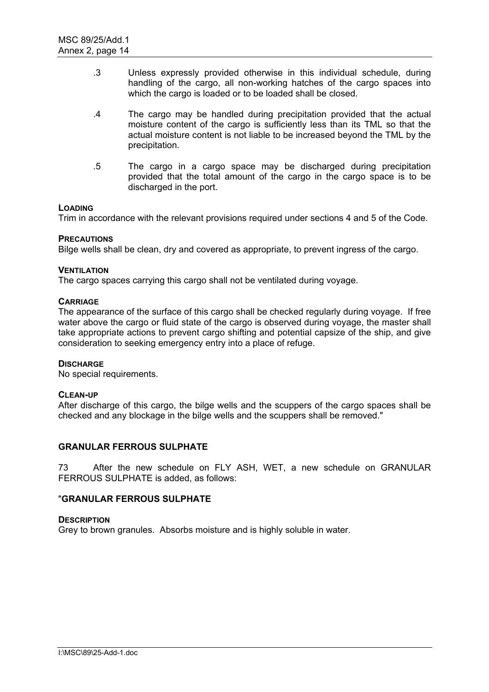- .3 Unless expressly provided otherwise in this individual schedule, during handling of the cargo, all non-working hatches of the cargo spaces into which the cargo is loaded or to be loaded shall be closed.
- .4 The cargo may be handled during precipitation provided that the actual moisture content of the cargo is sufficiently less than its TML so that the actual moisture content is not liable to be increased beyond the TML by the precipitation.
- .5 The cargo in a cargo space may be discharged during precipitation provided that the total amount of the cargo in the cargo space is to be discharged in the port.

# **LOADING**

Trim in accordance with the relevant provisions required under sections 4 and 5 of the Code.

## **PRECAUTIONS**

Bilge wells shall be clean, dry and covered as appropriate, to prevent ingress of the cargo.

# **VENTILATION**

The cargo spaces carrying this cargo shall not be ventilated during voyage.

# **CARRIAGE**

The appearance of the surface of this cargo shall be checked regularly during voyage. If free water above the cargo or fluid state of the cargo is observed during voyage, the master shall take appropriate actions to prevent cargo shifting and potential capsize of the ship, and give consideration to seeking emergency entry into a place of refuge.

## **DISCHARGE**

No special requirements.

## **CLEAN-UP**

After discharge of this cargo, the bilge wells and the scuppers of the cargo spaces shall be checked and any blockage in the bilge wells and the scuppers shall be removed."

## **GRANULAR FERROUS SULPHATE**

73 After the new schedule on FLY ASH, WET, a new schedule on GRANULAR FERROUS SULPHATE is added, as follows:

## "**GRANULAR FERROUS SULPHATE**

## **DESCRIPTION**

Grey to brown granules. Absorbs moisture and is highly soluble in water.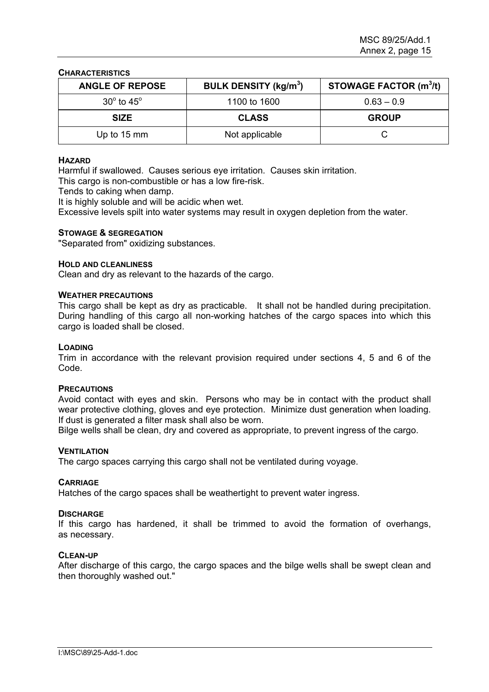**CHARACTERISTICS**

| <b>ANGLE OF REPOSE</b>       | <b>BULK DENSITY (kg/m<sup>3</sup>)</b> | <b>STOWAGE FACTOR (m<sup>3</sup>/t)</b> |
|------------------------------|----------------------------------------|-----------------------------------------|
| $30^{\circ}$ to $45^{\circ}$ | 1100 to 1600                           | $0.63 - 0.9$                            |
| <b>SIZE</b>                  | <b>CLASS</b>                           | <b>GROUP</b>                            |
| Up to $15 \text{ mm}$        | Not applicable                         |                                         |

## **HAZARD**

Harmful if swallowed. Causes serious eye irritation. Causes skin irritation.

This cargo is non-combustible or has a low fire-risk.

Tends to caking when damp.

It is highly soluble and will be acidic when wet.

Excessive levels spilt into water systems may result in oxygen depletion from the water.

## **STOWAGE & SEGREGATION**

"Separated from" oxidizing substances.

## **HOLD AND CLEANLINESS**

Clean and dry as relevant to the hazards of the cargo.

#### **WEATHER PRECAUTIONS**

This cargo shall be kept as dry as practicable. It shall not be handled during precipitation. During handling of this cargo all non-working hatches of the cargo spaces into which this cargo is loaded shall be closed.

#### **LOADING**

Trim in accordance with the relevant provision required under sections 4, 5 and 6 of the Code.

## **PRECAUTIONS**

Avoid contact with eyes and skin. Persons who may be in contact with the product shall wear protective clothing, gloves and eye protection. Minimize dust generation when loading. If dust is generated a filter mask shall also be worn.

Bilge wells shall be clean, dry and covered as appropriate, to prevent ingress of the cargo.

#### **VENTILATION**

The cargo spaces carrying this cargo shall not be ventilated during voyage.

## **CARRIAGE**

Hatches of the cargo spaces shall be weathertight to prevent water ingress.

## **DISCHARGE**

If this cargo has hardened, it shall be trimmed to avoid the formation of overhangs, as necessary.

#### **CLEAN-UP**

After discharge of this cargo, the cargo spaces and the bilge wells shall be swept clean and then thoroughly washed out."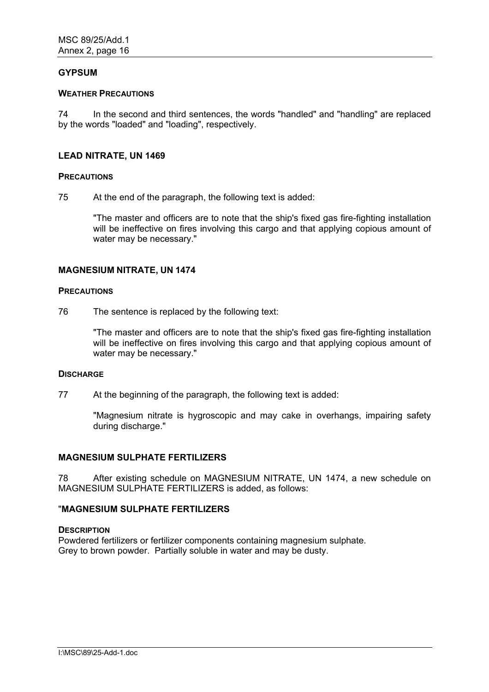## **GYPSUM**

#### **WEATHER PRECAUTIONS**

74 In the second and third sentences, the words "handled" and "handling" are replaced by the words "loaded" and "loading", respectively.

## **LEAD NITRATE, UN 1469**

# **PRECAUTIONS**

75 At the end of the paragraph, the following text is added:

"The master and officers are to note that the ship's fixed gas fire-fighting installation will be ineffective on fires involving this cargo and that applying copious amount of water may be necessary."

# **MAGNESIUM NITRATE, UN 1474**

#### **PRECAUTIONS**

76 The sentence is replaced by the following text:

"The master and officers are to note that the ship's fixed gas fire-fighting installation will be ineffective on fires involving this cargo and that applying copious amount of water may be necessary."

#### **DISCHARGE**

77 At the beginning of the paragraph, the following text is added:

"Magnesium nitrate is hygroscopic and may cake in overhangs, impairing safety during discharge."

## **MAGNESIUM SULPHATE FERTILIZERS**

78 After existing schedule on MAGNESIUM NITRATE, UN 1474, a new schedule on MAGNESIUM SULPHATE FERTILIZERS is added, as follows:

# "**MAGNESIUM SULPHATE FERTILIZERS**

#### **DESCRIPTION**

Powdered fertilizers or fertilizer components containing magnesium sulphate. Grey to brown powder. Partially soluble in water and may be dusty.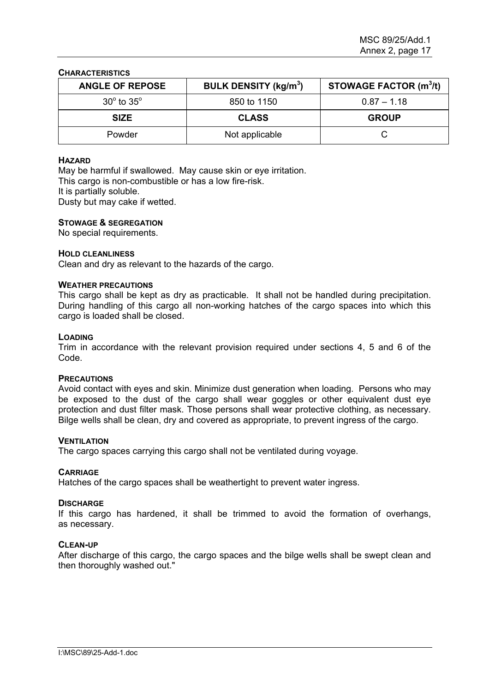#### **CHARACTERISTICS**

| <b>ANGLE OF REPOSE</b>       | <b>BULK DENSITY (kg/m<sup>3</sup>)</b> | STOWAGE FACTOR (m <sup>3</sup> /t) |
|------------------------------|----------------------------------------|------------------------------------|
| $30^{\circ}$ to $35^{\circ}$ | 850 to 1150                            | $0.87 - 1.18$                      |
| <b>SIZE</b>                  | <b>CLASS</b>                           | <b>GROUP</b>                       |
| Powder                       | Not applicable                         |                                    |

#### **HAZARD**

May be harmful if swallowed. May cause skin or eye irritation. This cargo is non-combustible or has a low fire-risk. It is partially soluble. Dusty but may cake if wetted.

#### **STOWAGE & SEGREGATION**

No special requirements.

#### **HOLD CLEANLINESS**

Clean and dry as relevant to the hazards of the cargo.

#### **WEATHER PRECAUTIONS**

This cargo shall be kept as dry as practicable. It shall not be handled during precipitation. During handling of this cargo all non-working hatches of the cargo spaces into which this cargo is loaded shall be closed.

#### **LOADING**

Trim in accordance with the relevant provision required under sections 4, 5 and 6 of the Code.

#### **PRECAUTIONS**

Avoid contact with eyes and skin. Minimize dust generation when loading. Persons who may be exposed to the dust of the cargo shall wear goggles or other equivalent dust eye protection and dust filter mask. Those persons shall wear protective clothing, as necessary. Bilge wells shall be clean, dry and covered as appropriate, to prevent ingress of the cargo.

#### **VENTILATION**

The cargo spaces carrying this cargo shall not be ventilated during voyage.

#### **CARRIAGE**

Hatches of the cargo spaces shall be weathertight to prevent water ingress.

#### **DISCHARGE**

If this cargo has hardened, it shall be trimmed to avoid the formation of overhangs, as necessary.

#### **CLEAN-UP**

After discharge of this cargo, the cargo spaces and the bilge wells shall be swept clean and then thoroughly washed out."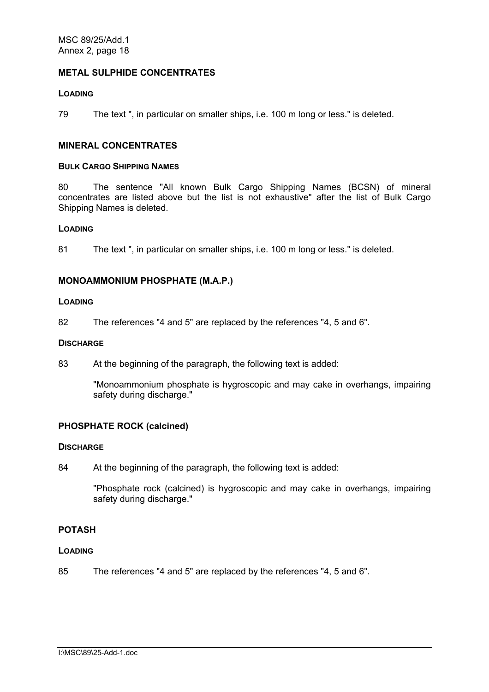# **METAL SULPHIDE CONCENTRATES**

#### **LOADING**

79 The text ", in particular on smaller ships, i.e. 100 m long or less." is deleted.

#### **MINERAL CONCENTRATES**

#### **BULK CARGO SHIPPING NAMES**

80 The sentence "All known Bulk Cargo Shipping Names (BCSN) of mineral concentrates are listed above but the list is not exhaustive" after the list of Bulk Cargo Shipping Names is deleted.

#### **LOADING**

81 The text ", in particular on smaller ships, i.e. 100 m long or less." is deleted.

## **MONOAMMONIUM PHOSPHATE (M.A.P.)**

# **LOADING**

82 The references "4 and 5" are replaced by the references "4, 5 and 6".

#### **DISCHARGE**

83 At the beginning of the paragraph, the following text is added:

"Monoammonium phosphate is hygroscopic and may cake in overhangs, impairing safety during discharge."

## **PHOSPHATE ROCK (calcined)**

#### **DISCHARGE**

84 At the beginning of the paragraph, the following text is added:

"Phosphate rock (calcined) is hygroscopic and may cake in overhangs, impairing safety during discharge."

# **POTASH**

#### **LOADING**

85 The references "4 and 5" are replaced by the references "4, 5 and 6".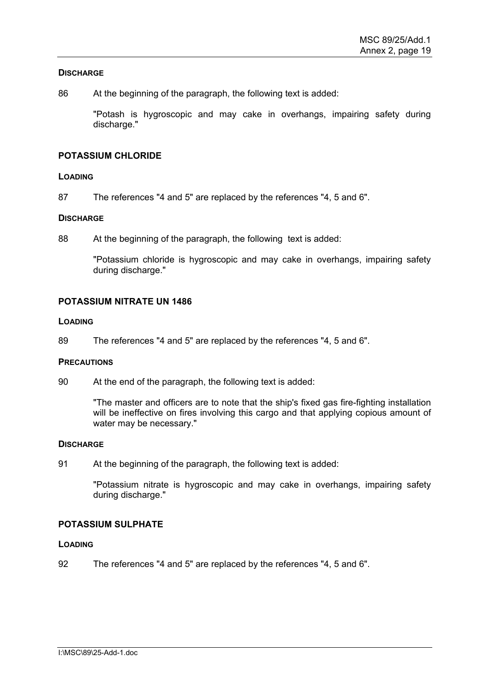## **DISCHARGE**

86 At the beginning of the paragraph, the following text is added:

"Potash is hygroscopic and may cake in overhangs, impairing safety during discharge."

# **POTASSIUM CHLORIDE**

# **LOADING**

87 The references "4 and 5" are replaced by the references "4, 5 and 6".

# **DISCHARGE**

88 At the beginning of the paragraph, the following text is added:

"Potassium chloride is hygroscopic and may cake in overhangs, impairing safety during discharge."

# **POTASSIUM NITRATE UN 1486**

## **LOADING**

89 The references "4 and 5" are replaced by the references "4, 5 and 6".

## **PRECAUTIONS**

90 At the end of the paragraph, the following text is added:

"The master and officers are to note that the ship's fixed gas fire-fighting installation will be ineffective on fires involving this cargo and that applying copious amount of water may be necessary."

## **DISCHARGE**

91 At the beginning of the paragraph, the following text is added:

"Potassium nitrate is hygroscopic and may cake in overhangs, impairing safety during discharge."

## **POTASSIUM SULPHATE**

# **LOADING**

92 The references "4 and 5" are replaced by the references "4, 5 and 6".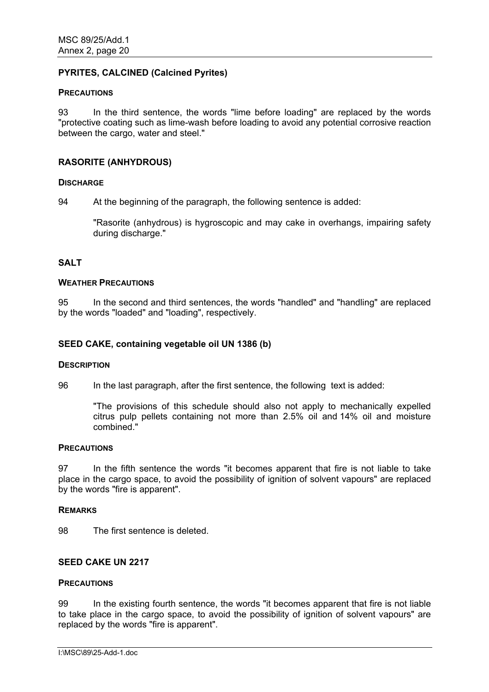# **PYRITES, CALCINED (Calcined Pyrites)**

#### **PRECAUTIONS**

93 In the third sentence, the words "lime before loading" are replaced by the words "protective coating such as lime-wash before loading to avoid any potential corrosive reaction between the cargo, water and steel."

## **RASORITE (ANHYDROUS)**

#### **DISCHARGE**

94 At the beginning of the paragraph, the following sentence is added:

"Rasorite (anhydrous) is hygroscopic and may cake in overhangs, impairing safety during discharge."

# **SALT**

#### **WEATHER PRECAUTIONS**

95 In the second and third sentences, the words "handled" and "handling" are replaced by the words "loaded" and "loading", respectively.

#### **SEED CAKE, containing vegetable oil UN 1386 (b)**

#### **DESCRIPTION**

96 In the last paragraph, after the first sentence, the following text is added:

"The provisions of this schedule should also not apply to mechanically expelled citrus pulp pellets containing not more than 2.5% oil and 14% oil and moisture combined."

#### **PRECAUTIONS**

97 In the fifth sentence the words "it becomes apparent that fire is not liable to take place in the cargo space, to avoid the possibility of ignition of solvent vapours" are replaced by the words "fire is apparent".

## **REMARKS**

98 The first sentence is deleted.

# **SEED CAKE UN 2217**

#### **PRECAUTIONS**

99 In the existing fourth sentence, the words "it becomes apparent that fire is not liable to take place in the cargo space, to avoid the possibility of ignition of solvent vapours" are replaced by the words "fire is apparent".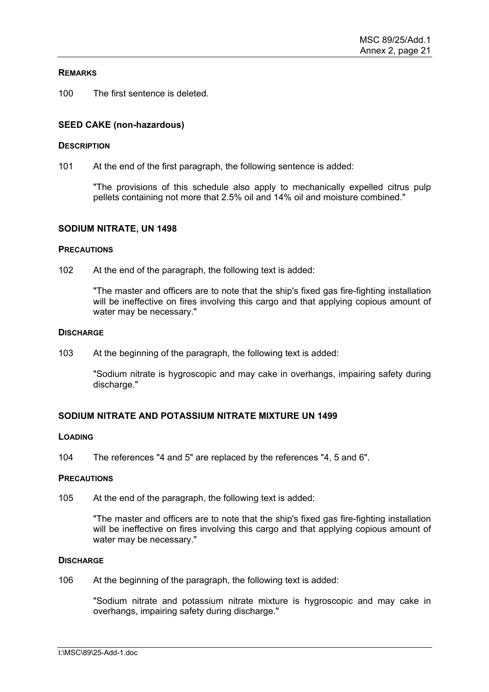## **REMARKS**

100 The first sentence is deleted.

# **SEED CAKE (non-hazardous)**

#### **DESCRIPTION**

101 At the end of the first paragraph, the following sentence is added:

"The provisions of this schedule also apply to mechanically expelled citrus pulp pellets containing not more that 2.5% oil and 14% oil and moisture combined."

#### **SODIUM NITRATE, UN 1498**

#### **PRECAUTIONS**

102 At the end of the paragraph, the following text is added:

"The master and officers are to note that the ship's fixed gas fire-fighting installation will be ineffective on fires involving this cargo and that applying copious amount of water may be necessary."

#### **DISCHARGE**

103 At the beginning of the paragraph, the following text is added:

"Sodium nitrate is hygroscopic and may cake in overhangs, impairing safety during discharge."

## **SODIUM NITRATE AND POTASSIUM NITRATE MIXTURE UN 1499**

#### **LOADING**

104 The references "4 and 5" are replaced by the references "4, 5 and 6".

#### **PRECAUTIONS**

105 At the end of the paragraph, the following text is added:

"The master and officers are to note that the ship's fixed gas fire-fighting installation will be ineffective on fires involving this cargo and that applying copious amount of water may be necessary."

## **DISCHARGE**

106 At the beginning of the paragraph, the following text is added:

"Sodium nitrate and potassium nitrate mixture is hygroscopic and may cake in overhangs, impairing safety during discharge."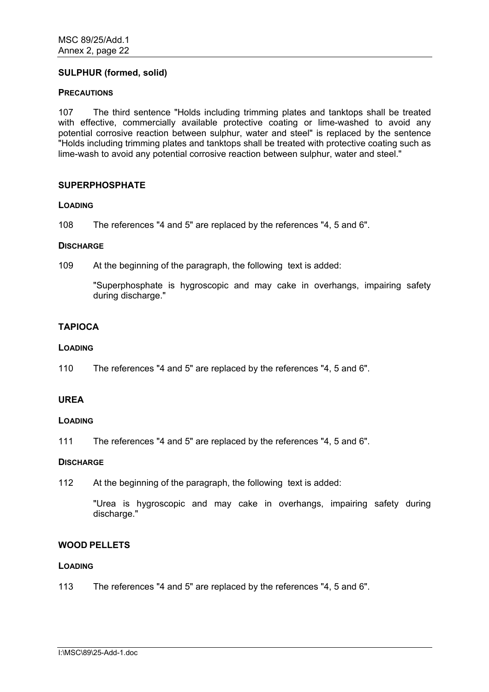# **SULPHUR (formed, solid)**

## **PRECAUTIONS**

107 The third sentence "Holds including trimming plates and tanktops shall be treated with effective, commercially available protective coating or lime-washed to avoid any potential corrosive reaction between sulphur, water and steel" is replaced by the sentence "Holds including trimming plates and tanktops shall be treated with protective coating such as lime-wash to avoid any potential corrosive reaction between sulphur, water and steel."

# **SUPERPHOSPHATE**

## **LOADING**

108 The references "4 and 5" are replaced by the references "4, 5 and 6".

## **DISCHARGE**

109 At the beginning of the paragraph, the following text is added:

"Superphosphate is hygroscopic and may cake in overhangs, impairing safety during discharge."

# **TAPIOCA**

## **LOADING**

110 The references "4 and 5" are replaced by the references "4, 5 and 6".

# **UREA**

## **LOADING**

111 The references "4 and 5" are replaced by the references "4, 5 and 6".

## **DISCHARGE**

112 At the beginning of the paragraph, the following text is added:

"Urea is hygroscopic and may cake in overhangs, impairing safety during discharge."

# **WOOD PELLETS**

## **LOADING**

113 The references "4 and 5" are replaced by the references "4, 5 and 6".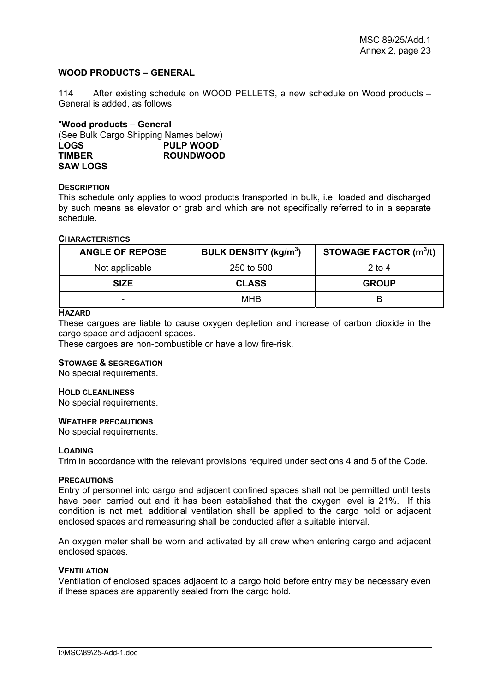## **WOOD PRODUCTS – GENERAL**

114 After existing schedule on WOOD PELLETS, a new schedule on Wood products – General is added, as follows:

"**Wood products – General**  (See Bulk Cargo Shipping Names below) **LOGS PULP WOOD TIMBER ROUNDWOOD SAW LOGS** 

#### **DESCRIPTION**

This schedule only applies to wood products transported in bulk, i.e. loaded and discharged by such means as elevator or grab and which are not specifically referred to in a separate schedule.

# **CHARACTERISTICS**

| <b>ANGLE OF REPOSE</b> | <b>BULK DENSITY (kg/m<sup>3</sup>)</b> | <b>STOWAGE FACTOR (m<sup>3</sup>/t)</b> |
|------------------------|----------------------------------------|-----------------------------------------|
| Not applicable         | 250 to 500                             | 2 to 4                                  |
| <b>SIZE</b>            | <b>CLASS</b>                           | <b>GROUP</b>                            |
| -                      | <b>MHB</b>                             | В                                       |

#### **HAZARD**

These cargoes are liable to cause oxygen depletion and increase of carbon dioxide in the cargo space and adjacent spaces.

These cargoes are non-combustible or have a low fire-risk.

#### **STOWAGE & SEGREGATION**

No special requirements.

#### **HOLD CLEANLINESS**

No special requirements.

#### **WEATHER PRECAUTIONS**

No special requirements.

#### **LOADING**

Trim in accordance with the relevant provisions required under sections 4 and 5 of the Code.

#### **PRECAUTIONS**

Entry of personnel into cargo and adjacent confined spaces shall not be permitted until tests have been carried out and it has been established that the oxygen level is 21%. If this condition is not met, additional ventilation shall be applied to the cargo hold or adjacent enclosed spaces and remeasuring shall be conducted after a suitable interval.

An oxygen meter shall be worn and activated by all crew when entering cargo and adjacent enclosed spaces.

#### **VENTILATION**

Ventilation of enclosed spaces adjacent to a cargo hold before entry may be necessary even if these spaces are apparently sealed from the cargo hold.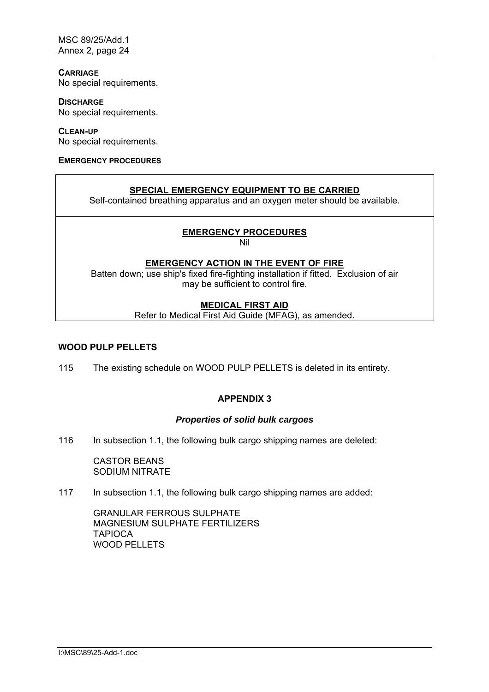# **CARRIAGE**

No special requirements.

**DISCHARGE** No special requirements.

**CLEAN-UP** No special requirements.

## **EMERGENCY PROCEDURES**

# **SPECIAL EMERGENCY EQUIPMENT TO BE CARRIED**

Self-contained breathing apparatus and an oxygen meter should be available.

# **EMERGENCY PROCEDURES**

Nil

# **EMERGENCY ACTION IN THE EVENT OF FIRE**

Batten down; use ship's fixed fire-fighting installation if fitted. Exclusion of air may be sufficient to control fire.

# **MEDICAL FIRST AID**

Refer to Medical First Aid Guide (MFAG), as amended.

# **WOOD PULP PELLETS**

115 The existing schedule on WOOD PULP PELLETS is deleted in its entirety.

# **APPENDIX 3**

# *Properties of solid bulk cargoes*

116 In subsection 1.1, the following bulk cargo shipping names are deleted:

CASTOR BEANS SODIUM NITRATE

## 117 In subsection 1.1, the following bulk cargo shipping names are added:

GRANULAR FERROUS SULPHATE MAGNESIUM SULPHATE FERTILIZERS **TAPIOCA** WOOD PELLETS